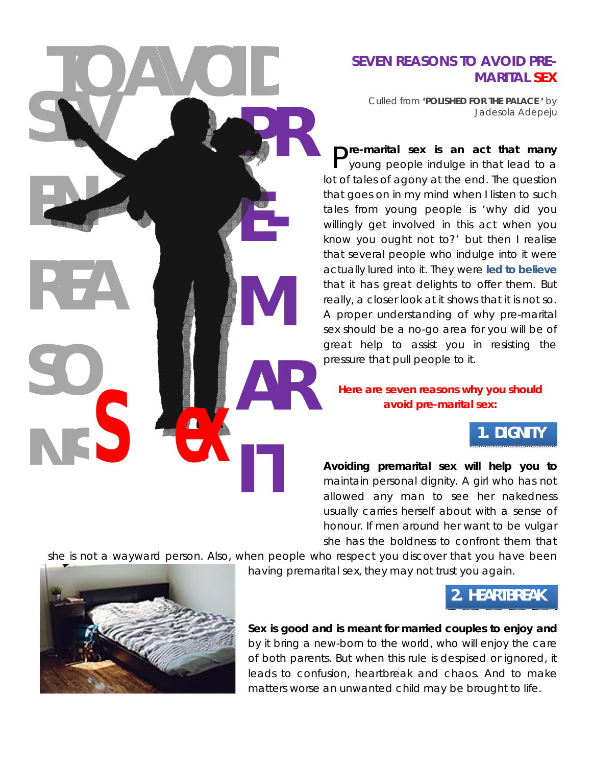

## **SEVEN REASONS TO AVOID PRE-MARITAL SEX**

*Culled from* **'POLISHED FOR THE PALACE '** *by Jadesola Adepeju*

**P**<sup>re-marital sex is an act that many<br>P young people indulge in that lead to a</sup> young people indulge in that lead to a lot of tales of agony at the end. The question that goes on in my mind when I listen to such tales from young people is 'why did you willingly get involved in this act when you know you ought not to?' but then I realise that several people who indulge into it were actually lured into it. They were **[led to believe](http://www.jessethrust.com/five-ways-to-overcome-to-infatuation.pdf)** that it has great delights to offer them. But really, a closer look at it shows that it is not so. A proper understanding of why pre-marital sex should be a no-go area for you will be of great help to assist you in resisting the pressure that pull people to it.

#### **Here are seven reasons why you should avoid pre-marital sex:**

## **1. DIGNITY**

**Avoiding premarital sex will help you to** maintain personal dignity. A girl who has not allowed any man to see her nakedness usually carries herself about with a sense of honour. If men around her want to be vulgar she has the boldness to confront them that

she is not a wayward person. Also, when people who respect you discover that you have been

having premarital sex, they may not trust you again.

## **2. HEARTBREAK**